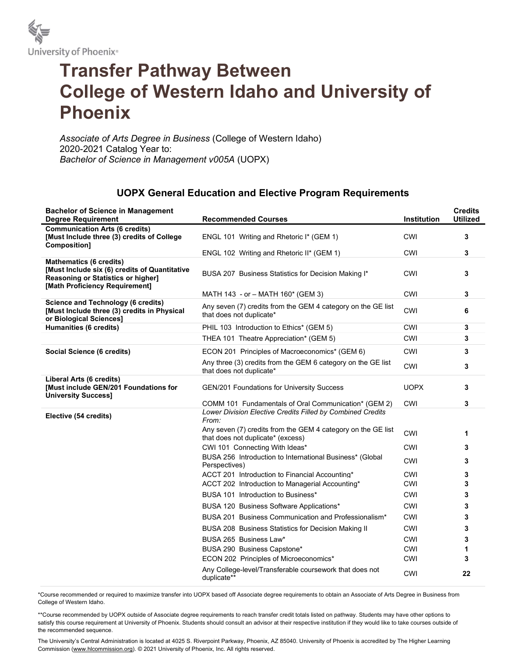

## Transfer Pathway Between College of Western Idaho and University of Phoenix

Associate of Arts Degree in Business (College of Western Idaho) 2020-2021 Catalog Year to: Bachelor of Science in Management v005A (UOPX)

## UOPX General Education and Elective Program Requirements

| <b>Bachelor of Science in Management</b><br><b>Degree Requirement</b>                                                                                   | <b>Recommended Courses</b>                                                                        | <b>Institution</b> | <b>Credits</b><br><b>Utilized</b> |
|---------------------------------------------------------------------------------------------------------------------------------------------------------|---------------------------------------------------------------------------------------------------|--------------------|-----------------------------------|
| <b>Communication Arts (6 credits)</b><br>[Must Include three (3) credits of College<br><b>Composition]</b>                                              | ENGL 101 Writing and Rhetoric I* (GEM 1)                                                          | <b>CWI</b>         | 3                                 |
|                                                                                                                                                         | ENGL 102 Writing and Rhetoric II* (GEM 1)                                                         | CWI                | 3                                 |
| <b>Mathematics (6 credits)</b><br>[Must Include six (6) credits of Quantitative<br>Reasoning or Statistics or higher]<br>[Math Proficiency Requirement] | BUSA 207 Business Statistics for Decision Making I*                                               | <b>CWI</b>         | 3                                 |
|                                                                                                                                                         | MATH 143 - or - MATH 160* (GEM 3)                                                                 | CWI                | 3                                 |
| <b>Science and Technology (6 credits)</b><br>[Must Include three (3) credits in Physical<br>or Biological Sciences]                                     | Any seven (7) credits from the GEM 4 category on the GE list<br>that does not duplicate*          | CWI                | 6                                 |
| Humanities (6 credits)                                                                                                                                  | PHIL 103 Introduction to Ethics* (GEM 5)                                                          | <b>CWI</b>         | 3                                 |
|                                                                                                                                                         | THEA 101 Theatre Appreciation* (GEM 5)                                                            | <b>CWI</b>         | 3                                 |
| Social Science (6 credits)                                                                                                                              | ECON 201 Principles of Macroeconomics* (GEM 6)                                                    | <b>CWI</b>         | 3                                 |
|                                                                                                                                                         | Any three (3) credits from the GEM 6 category on the GE list<br>that does not duplicate*          | <b>CWI</b>         | 3                                 |
| Liberal Arts (6 credits)<br>[Must include GEN/201 Foundations for<br><b>University Success]</b>                                                         | <b>GEN/201 Foundations for University Success</b>                                                 | <b>UOPX</b>        | 3                                 |
|                                                                                                                                                         | COMM 101 Fundamentals of Oral Communication* (GEM 2)                                              | CWI                | 3                                 |
| Elective (54 credits)                                                                                                                                   | Lower Division Elective Credits Filled by Combined Credits<br>From:                               |                    |                                   |
|                                                                                                                                                         | Any seven (7) credits from the GEM 4 category on the GE list<br>that does not duplicate* (excess) | CWI                | 1                                 |
|                                                                                                                                                         | CWI 101 Connecting With Ideas*                                                                    | <b>CWI</b>         | 3                                 |
|                                                                                                                                                         | BUSA 256 Introduction to International Business* (Global<br>Perspectives)                         | CWI                | 3                                 |
|                                                                                                                                                         | ACCT 201 Introduction to Financial Accounting*                                                    | CWI                | 3                                 |
|                                                                                                                                                         | ACCT 202 Introduction to Managerial Accounting*                                                   | <b>CWI</b>         | 3                                 |
|                                                                                                                                                         | BUSA 101 Introduction to Business*                                                                | <b>CWI</b>         | 3                                 |
|                                                                                                                                                         | BUSA 120 Business Software Applications*                                                          | <b>CWI</b>         | 3                                 |
|                                                                                                                                                         | BUSA 201 Business Communication and Professionalism <sup>*</sup>                                  | CWI                | 3                                 |
|                                                                                                                                                         | BUSA 208 Business Statistics for Decision Making II                                               | <b>CWI</b>         | 3                                 |
|                                                                                                                                                         | BUSA 265 Business Law*                                                                            | CWI                | 3                                 |
|                                                                                                                                                         | BUSA 290 Business Capstone*                                                                       | CWI                | 1                                 |
|                                                                                                                                                         | ECON 202 Principles of Microeconomics*                                                            | <b>CWI</b>         | 3                                 |
|                                                                                                                                                         | Any College-level/Transferable coursework that does not<br>duplicate**                            | CWI                | 22                                |

\*Course recommended or required to maximize transfer into UOPX based off Associate degree requirements to obtain an Associate of Arts Degree in Business from College of Western Idaho.

\*\*Course recommended by UOPX outside of Associate degree requirements to reach transfer credit totals listed on pathway. Students may have other options to satisfy this course requirement at University of Phoenix. Students should consult an advisor at their respective institution if they would like to take courses outside of the recommended sequence.

The University's Central Administration is located at 4025 S. Riverpoint Parkway, Phoenix, AZ 85040. University of Phoenix is accredited by The Higher Learning Commission (www.hlcommission.org). © 2021 University of Phoenix, Inc. All rights reserved.